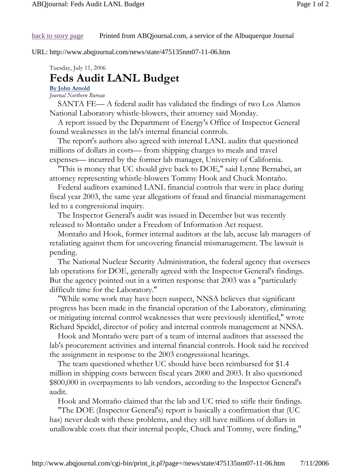### back to story page Printed from ABQjournal.com, a service of the Albuquerque Journal

URL: http://www.abqjournal.com/news/state/475135nm07-11-06.htm

Tuesday, July 11, 2006

# **Feds Audit LANL Budget**

## **By John Arnold**

*Journal Northern Bureau*

 SANTA FE— A federal audit has validated the findings of two Los Alamos National Laboratory whistle-blowers, their attorney said Monday.

 A report issued by the Department of Energy's Office of Inspector General found weaknesses in the lab's internal financial controls.

 The report's authors also agreed with internal LANL audits that questioned millions of dollars in costs— from shipping charges to meals and travel expenses— incurred by the former lab manager, University of California.

 "This is money that UC should give back to DOE," said Lynne Bernabei, an attorney representing whistle-blowers Tommy Hook and Chuck Montaño.

 Federal auditors examined LANL financial controls that were in place during fiscal year 2003, the same year allegations of fraud and financial mismanagement led to a congressional inquiry.

 The Inspector General's audit was issued in December but was recently released to Montaño under a Freedom of Information Act request.

 Montaño and Hook, former internal auditors at the lab, accuse lab managers of retaliating against them for uncovering financial mismanagement. The lawsuit is pending.

 The National Nuclear Security Administration, the federal agency that oversees lab operations for DOE, generally agreed with the Inspector General's findings. But the agency pointed out in a written response that 2003 was a "particularly difficult time for the Laboratory."

 "While some work may have been suspect, NNSA believes that significant progress has been made in the financial operation of the Laboratory, eliminating or mitigating internal control weaknesses that were previously identified," wrote Richard Speidel, director of policy and internal controls management at NNSA.

 Hook and Montaño were part of a team of internal auditors that assessed the lab's procurement activities and internal financial controls. Hook said he received the assignment in response to the 2003 congressional hearings.

 The team questioned whether UC should have been reimbursed for \$1.4 million in shipping costs between fiscal years 2000 and 2003. It also questioned \$800,000 in overpayments to lab vendors, according to the Inspector General's audit.

Hook and Montaño claimed that the lab and UC tried to stifle their findings.

 "The DOE (Inspector General's) report is basically a confirmation that (UC has) never dealt with these problems, and they still have millions of dollars in unallowable costs that their internal people, Chuck and Tommy, were finding,"